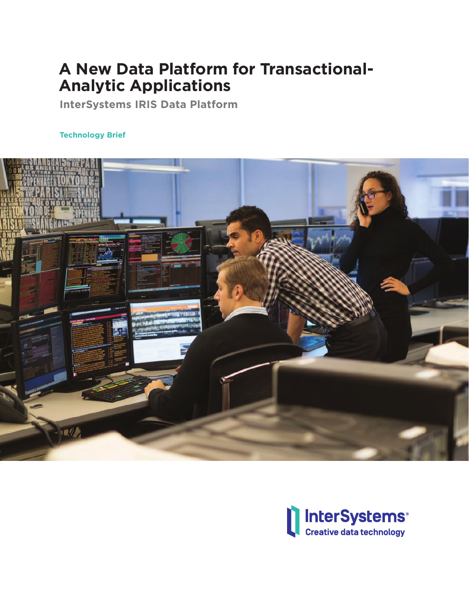# **A New Data Platform for Transactional-Analytic Applications**

**InterSystems IRIS Data Platform**

## **Technology Brief**



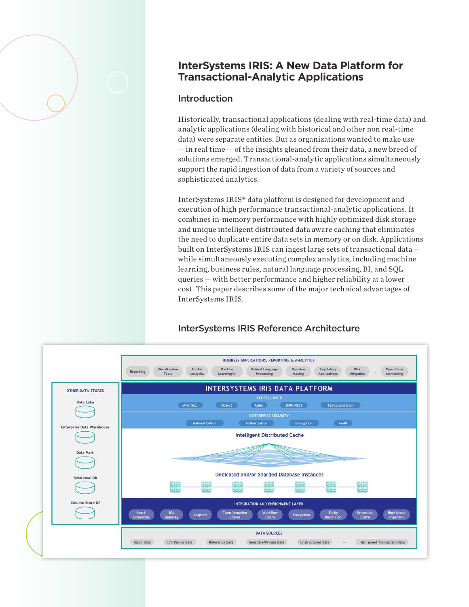# **InterSystems IRIS: A New Data Platform for Transactional-Analytic Applications**

#### **Introduction**

Historically, transactional applications (dealing with real-time data) and analytic applications (dealing with historical and other non real-time data) were separate entities. But as organizations wanted to make use — in real time — of the insights gleaned from their data, a new breed of solutions emerged. Transactional-analytic applications simultaneously support the rapid ingestion of data from a variety of sources and sophisticated analytics.

InterSystems IRIS® data platform is designed for development and execution of high performance transactional-analytic applications. It combines in-memory performance with highly optimized disk storage and unique intelligent distributed data aware caching that eliminates the need to duplicate entire data sets in memory or on disk. Applications built on InterSystems IRIS can ingest large sets of transactional data while simultaneously executing complex analytics, including machine learning, business rules, natural language processing, BI, and SQL queries — with better performance and higher reliability at a lower cost. This paper describes some of the major technical advantages of InterSystems IRIS.



# InterSystems IRIS Reference Architecture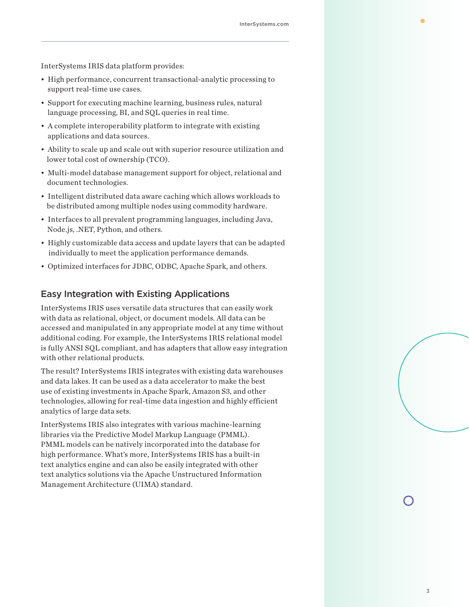InterSystems IRIS data platform provides:

- High performance, concurrent transactional-analytic processing to support real-time use cases.
- Support for executing machine learning, business rules, natural language processing, BI, and SQL queries in real time.
- A complete interoperability platform to integrate with existing applications and data sources.
- Ability to scale up and scale out with superior resource utilization and lower total cost of ownership (TCO).
- Multi-model database management support for object, relational and document technologies.
- Intelligent distributed data aware caching which allows workloads to be distributed among multiple nodes using commodity hardware.
- Interfaces to all prevalent programming languages, including Java, Node.js, .NET, Python, and others.
- Highly customizable data access and update layers that can be adapted individually to meet the application performance demands.
- Optimized interfaces for JDBC, ODBC, Apache Spark, and others.

#### Easy Integration with Existing Applications

InterSystems IRIS uses versatile data structures that can easily work with data as relational, object, or document models. All data can be accessed and manipulated in any appropriate model at any time without additional coding. For example, the InterSystems IRIS relational model is fully ANSI SQL compliant, and has adapters that allow easy integration with other relational products.

The result? InterSystems IRIS integrates with existing data warehouses and data lakes. It can be used as a data accelerator to make the best use of existing investments in Apache Spark, Amazon S3, and other technologies, allowing for real-time data ingestion and highly efficient analytics of large data sets.

InterSystems IRIS also integrates with various machine-learning libraries via the Predictive Model Markup Language (PMML). PMML models can be natively incorporated into the database for high performance. What's more, InterSystems IRIS has a built-in text analytics engine and can also be easily integrated with other text analytics solutions via the Apache Unstructured Information Management Architecture (UIMA) standard.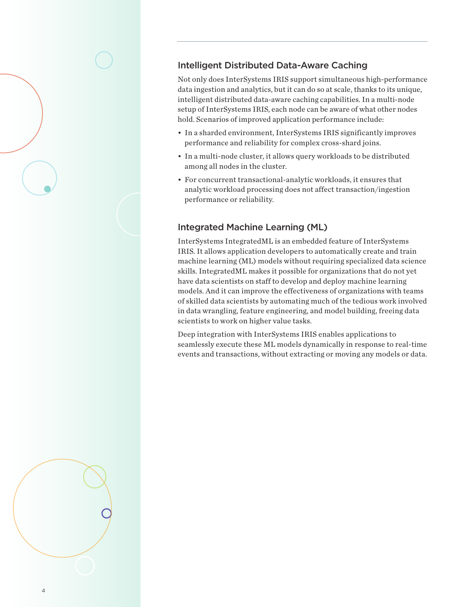# Intelligent Distributed Data-Aware Caching

Not only does InterSystems IRIS support simultaneous high-performance data ingestion and analytics, but it can do so at scale, thanks to its unique, intelligent distributed data-aware caching capabilities. In a multi-node setup of InterSystems IRIS, each node can be aware of what other nodes hold. Scenarios of improved application performance include:

- In a sharded environment, InterSystems IRIS significantly improves performance and reliability for complex cross-shard joins.
- In a multi-node cluster, it allows query workloads to be distributed among all nodes in the cluster.
- For concurrent transactional-analytic workloads, it ensures that analytic workload processing does not affect transaction/ingestion performance or reliability.

# Integrated Machine Learning (ML)

InterSystems IntegratedML is an embedded feature of InterSystems IRIS. It allows application developers to automatically create and train machine learning (ML) models without requiring specialized data science skills. IntegratedML makes it possible for organizations that do not yet have data scientists on staff to develop and deploy machine learning models. And it can improve the effectiveness of organizations with teams of skilled data scientists by automating much of the tedious work involved in data wrangling, feature engineering, and model building, freeing data scientists to work on higher value tasks.

Deep integration with InterSystems IRIS enables applications to seamlessly execute these ML models dynamically in response to real-time events and transactions, without extracting or moving any models or data.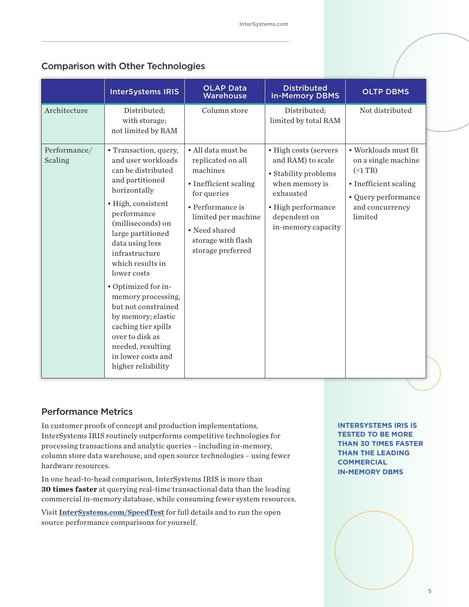# Comparison with Other Technologies

|                         | <b>InterSystems IRIS</b>                                                                                                                                                                                                                                                                                                                                                                                                                                         | <b>OLAP Data</b><br>Warehouse                                                                                                                                                                      | <b>Distributed</b><br><b>In-Memory DBMS</b>                                                                                                                   | <b>OLTP DBMS</b>                                                                                                               |
|-------------------------|------------------------------------------------------------------------------------------------------------------------------------------------------------------------------------------------------------------------------------------------------------------------------------------------------------------------------------------------------------------------------------------------------------------------------------------------------------------|----------------------------------------------------------------------------------------------------------------------------------------------------------------------------------------------------|---------------------------------------------------------------------------------------------------------------------------------------------------------------|--------------------------------------------------------------------------------------------------------------------------------|
| Architecture            | Distributed;<br>with storage;<br>not limited by RAM                                                                                                                                                                                                                                                                                                                                                                                                              | Column store                                                                                                                                                                                       | Distributed;<br>limited by total RAM                                                                                                                          | Not distributed                                                                                                                |
| Performance/<br>Scaling | • Transaction, query,<br>and user workloads<br>can be distributed<br>and partitioned<br>horizontally<br>· High, consistent<br>performance<br>(milliseconds) on<br>large partitioned<br>data using less<br>infrastructure<br>which results in<br>lower costs<br>• Optimized for in-<br>memory processing,<br>but not constrained<br>by memory; elastic<br>caching tier spills<br>over to disk as<br>needed, resulting<br>in lower costs and<br>higher reliability | • All data must be<br>replicated on all<br>machines<br>• Inefficient scaling<br>for queries<br>• Performance is<br>limited per machine<br>• Need shared<br>storage with flash<br>storage preferred | • High costs (servers<br>and RAM) to scale<br>• Stability problems<br>when memory is<br>exhausted<br>• High performance<br>dependent on<br>in-memory capacity | • Workloads must fit<br>on a single machine<br>(<br>• Inefficient scaling<br>• Query performance<br>and concurrency<br>limited |

#### Performance Metrics

In customer proofs of concept and production implementations, InterSystems IRIS routinely outperforms competitive technologies for processing transactions and analytic queries – including in-memory, column store data warehouse, and open source technologies – using fewer hardware resources.

In one head-to-head comparison, InterSystems IRIS is more than **30 times faster** at querying real-time transactional data than the leading commercial in-memory database, while consuming fewer system resources.

Visit **InterSystems.com/SpeedTest** for full details and to run the open source performance comparisons for yourself.

**INTERSYSTEMS IRIS IS TESTED TO BE MORE THAN 30 TIMES FASTER THAN THE LEADING COMMERCIAL IN-MEMORY DBMS**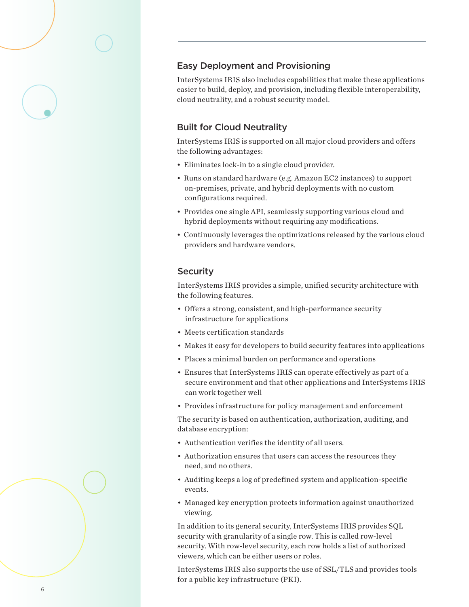#### Easy Deployment and Provisioning

InterSystems IRIS also includes capabilities that make these applications easier to build, deploy, and provision, including flexible interoperability, cloud neutrality, and a robust security model.

#### Built for Cloud Neutrality

InterSystems IRIS is supported on all major cloud providers and offers the following advantages:

- Eliminates lock-in to a single cloud provider.
- Runs on standard hardware (e.g. Amazon EC2 instances) to support on-premises, private, and hybrid deployments with no custom configurations required.
- Provides one single API, seamlessly supporting various cloud and hybrid deployments without requiring any modifications.
- Continuously leverages the optimizations released by the various cloud providers and hardware vendors.

#### **Security**

InterSystems IRIS provides a simple, unified security architecture with the following features.

- Offers a strong, consistent, and high-performance security infrastructure for applications
- Meets certification standards
- Makes it easy for developers to build security features into applications
- Places a minimal burden on performance and operations
- Ensures that InterSystems IRIS can operate effectively as part of a secure environment and that other applications and InterSystems IRIS can work together well
- Provides infrastructure for policy management and enforcement

The security is based on authentication, authorization, auditing, and database encryption:

- Authentication verifies the identity of all users.
- Authorization ensures that users can access the resources they need, and no others.
- Auditing keeps a log of predefined system and application-specific events.
- Managed key encryption protects information against unauthorized viewing.

In addition to its general security, InterSystems IRIS provides SQL security with granularity of a single row. This is called row-level security. With row-level security, each row holds a list of authorized viewers, which can be either users or roles.

InterSystems IRIS also supports the use of SSL/TLS and provides tools for a public key infrastructure (PKI).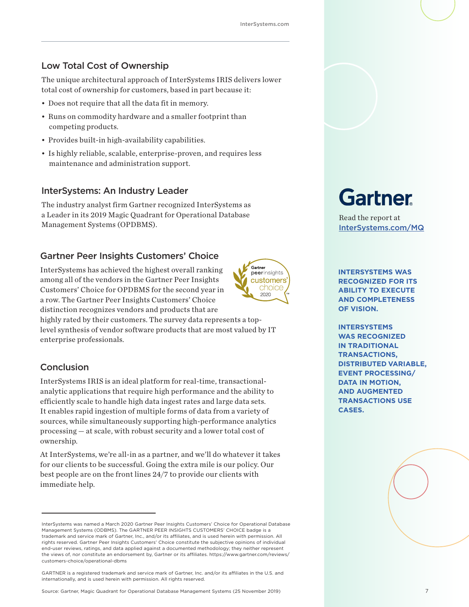## Low Total Cost of Ownership

The unique architectural approach of InterSystems IRIS delivers lower total cost of ownership for customers, based in part because it:

- Does not require that all the data fit in memory.
- Runs on commodity hardware and a smaller footprint than competing products.
- Provides built-in high-availability capabilities.
- Is highly reliable, scalable, enterprise-proven, and requires less maintenance and administration support.

#### InterSystems: An Industry Leader

The industry analyst firm Gartner recognized InterSystems as a Leader in its 2019 Magic Quadrant for Operational Database Read the report at<br>Management Systems (OPDBMS).

#### Gartner Peer Insights Customers' Choice

InterSystems has achieved the highest overall ranking among all of the vendors in the Gartner Peer Insights Customers' Choice for OPDBMS for the second year in a row. The Gartner Peer Insights Customers' Choice distinction recognizes vendors and products that are



highly rated by their customers. The survey data represents a toplevel synthesis of vendor software products that are most valued by IT enterprise professionals.

#### Conclusion

InterSystems IRIS is an ideal platform for real-time, transactionalanalytic applications that require high performance and the ability to efficiently scale to handle high data ingest rates and large data sets. It enables rapid ingestion of multiple forms of data from a variety of sources, while simultaneously supporting high-performance analytics processing — at scale, with robust security and a lower total cost of ownership.

At InterSystems, we're all-in as a partner, and we'll do whatever it takes for our clients to be successful. Going the extra mile is our policy. Our best people are on the front lines 24/7 to provide our clients with immediate help.

# Gartner

InterSystems.com/MQ

**INTERSYSTEMS WAS RECOGNIZED FOR ITS ABILITY TO EXECUTE AND COMPLETENESS OF VISION.** 

**INTERSYSTEMS WAS RECOGNIZED IN TRADITIONAL TRANSACTIONS, DISTRIBUTED VARIABLE, EVENT PROCESSING/ DATA IN MOTION, AND AUGMENTED TRANSACTIONS USE CASES.** 

InterSystems was named a March 2020 Gartner Peer Insights Customers' Choice for Operational Database Management Systems (ODBMS). The GARTNER PEER INSIGHTS CUSTOMERS' CHOICE badge is a trademark and service mark of Gartner, Inc., and/or its affiliates, and is used herein with permission. All rights reserved. Gartner Peer Insights Customers' Choice constitute the subjective opinions of individual end-user reviews, ratings, and data applied against a documented methodology; they neither represent the views of, nor constitute an endorsement by, Gartner or its affiliates. https://www.gartner.com/reviews/ customers-choice/operational-dbms

GARTNER is a registered trademark and service mark of Gartner, Inc. and/or its affiliates in the U.S. and internationally, and is used herein with permission. All rights reserved.